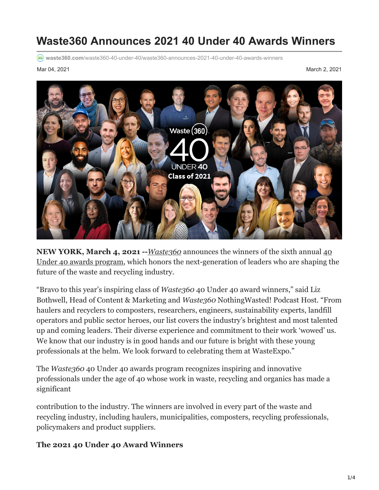# **Waste360 Announces 2021 40 Under 40 Awards Winners**

**waste360.com**[/waste360-40-under-40/waste360-announces-2021-40-under-40-awards-winners](https://www.waste360.com/waste360-40-under-40/waste360-announces-2021-40-under-40-awards-winners)

Mar 04, 2021 March 2, 2021



**NEW YORK, March 4, 2021 --***[Waste360](http://www.waste360.com/)* announces the winners of the sixth annual 40 [Under 40 awards program, which honors the next-generation of leaders who are shaping th](http://www.waste360.com/waste360-40-under-40/meet-2021-waste360-40-under-40-awards-recipients)e future of the waste and recycling industry.

"Bravo to this year's inspiring class of *Waste360* 40 Under 40 award winners," said Liz Bothwell, Head of Content & Marketing and *Waste360* NothingWasted! Podcast Host. "From haulers and recyclers to composters, researchers, engineers, sustainability experts, landfill operators and public sector heroes, our list covers the industry's brightest and most talented up and coming leaders. Their diverse experience and commitment to their work 'wowed' us. We know that our industry is in good hands and our future is bright with these young professionals at the helm. We look forward to celebrating them at WasteExpo."

The *Waste360* 40 Under 40 awards program recognizes inspiring and innovative professionals under the age of 40 whose work in waste, recycling and organics has made a significant

contribution to the industry. The winners are involved in every part of the waste and recycling industry, including haulers, municipalities, composters, recycling professionals, policymakers and product suppliers.

#### **The 2021 40 Under 40 Award Winners**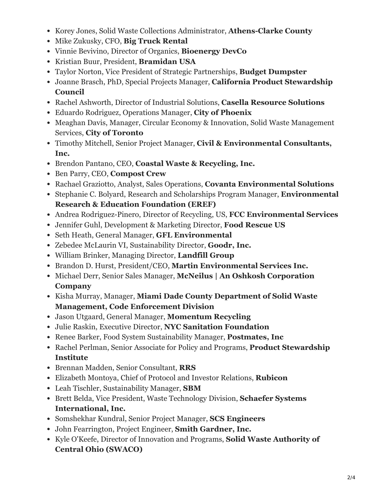- Korey Jones, Solid Waste Collections Administrator, **Athens-Clarke County**
- Mike Zukusky, CFO, **Big Truck Rental**
- Vinnie Bevivino, Director of Organics, **Bioenergy DevCo**
- Kristian Buur, President, **Bramidan USA**
- Taylor Norton, Vice President of Strategic Partnerships, **Budget Dumpster**
- Joanne Brasch, PhD, Special Projects Manager, **California Product Stewardship Council**
- Rachel Ashworth, Director of Industrial Solutions, **Casella Resource Solutions**
- Eduardo Rodriguez, Operations Manager, **City of Phoenix**
- Meaghan Davis, Manager, Circular Economy & Innovation, Solid Waste Management Services, **City of Toronto**
- Timothy Mitchell, Senior Project Manager, **Civil & Environmental Consultants, Inc.**
- Brendon Pantano, CEO, **Coastal Waste & Recycling, Inc.**
- Ben Parry, CEO, **Compost Crew**
- Rachael Graziotto, Analyst, Sales Operations, **Covanta Environmental Solutions**
- Stephanie C. Bolyard, Research and Scholarships Program Manager, **Environmental Research & Education Foundation (EREF)**
- Andrea Rodriguez-Pinero, Director of Recycling, US, **FCC Environmental Services**
- Jennifer Guhl, Development & Marketing Director, **Food Rescue US**
- Seth Heath, General Manager, **GFL Environmental**
- Zebedee McLaurin VI, Sustainability Director, **Goodr, Inc.**
- William Brinker, Managing Director, **Landfill Group**
- Brandon D. Hurst, President/CEO, **Martin Environmental Services Inc.**
- Michael Derr, Senior Sales Manager, **McNeilus | An Oshkosh Corporation Company**
- Kisha Murray, Manager, **Miami Dade County Department of Solid Waste Management, Code Enforcement Division**
- Jason Utgaard, General Manager, **Momentum Recycling**
- Julie Raskin, Executive Director, **NYC Sanitation Foundation**
- Renee Barker, Food System Sustainability Manager, **Postmates, Inc**
- Rachel Perlman, Senior Associate for Policy and Programs, **Product Stewardship Institute**
- Brennan Madden, Senior Consultant, **RRS**
- Elizabeth Montoya, Chief of Protocol and Investor Relations, **Rubicon**
- Leah Tischler, Sustainability Manager, **SBM**
- Brett Belda, Vice President, Waste Technology Division, **Schaefer Systems International, Inc.**
- Somshekhar Kundral, Senior Project Manager, **SCS Engineers**
- John Fearrington, Project Engineer, **Smith Gardner, Inc.**
- Kyle O'Keefe, Director of Innovation and Programs, **Solid Waste Authority of Central Ohio (SWACO)**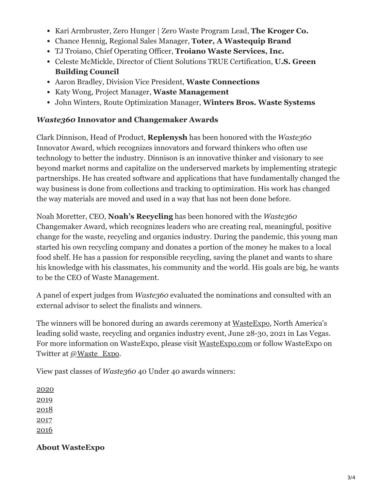- Kari Armbruster, Zero Hunger | Zero Waste Program Lead, **The Kroger Co.**
- Chance Hennig, Regional Sales Manager, **Toter, A Wastequip Brand**
- TJ Troiano, Chief Operating Officer, **Troiano Waste Services, Inc.**
- Celeste McMickle, Director of Client Solutions TRUE Certification, **U.S. Green Building Council**
- Aaron Bradley, Division Vice President, **Waste Connections**
- Katy Wong, Project Manager, **Waste Management**
- John Winters, Route Optimization Manager, **Winters Bros. Waste Systems**

#### *Waste360* **Innovator and Changemaker Awards**

Clark Dinnison, Head of Product, **Replenysh** has been honored with the *Waste360* Innovator Award, which recognizes innovators and forward thinkers who often use technology to better the industry. Dinnison is an innovative thinker and visionary to see beyond market norms and capitalize on the underserved markets by implementing strategic partnerships. He has created software and applications that have fundamentally changed the way business is done from collections and tracking to optimization. His work has changed the way materials are moved and used in a way that has not been done before.

Noah Moretter, CEO, **Noah's Recycling** has been honored with the *Waste360* Changemaker Award, which recognizes leaders who are creating real, meaningful, positive change for the waste, recycling and organics industry. During the pandemic, this young man started his own recycling company and donates a portion of the money he makes to a local food shelf. He has a passion for responsible recycling, saving the planet and wants to share his knowledge with his classmates, his community and the world. His goals are big, he wants to be the CEO of Waste Management.

A panel of expert judges from *Waste360* evaluated the nominations and consulted with an external advisor to select the finalists and winners.

The winners will be honored during an awards ceremony at [WasteExpo,](http://www.wasteexpo.com/) North America's leading solid waste, recycling and organics industry event, June 28-30, 2021 in Las Vegas. For more information on WasteExpo, please visit [WasteExpo.com](http://www.wasteexpo.com/) or follow WasteExpo on Twitter at [@Waste\\_Expo.](http://twitter.com/Waste360)

View past classes of *Waste360* 40 Under 40 awards winners:

### **About WasteExpo**